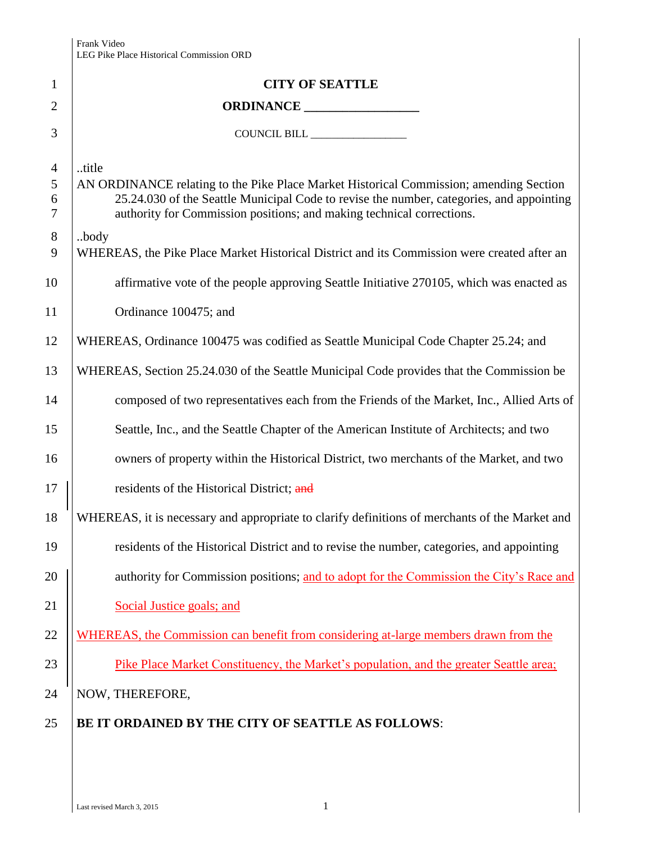| Frank Video                              |
|------------------------------------------|
| LEG Pike Place Historical Commission ORD |

| $\mathbf{1}$                                    | <b>CITY OF SEATTLE</b>                                                                                                                                                                                                                                                       |
|-------------------------------------------------|------------------------------------------------------------------------------------------------------------------------------------------------------------------------------------------------------------------------------------------------------------------------------|
| $\overline{2}$                                  |                                                                                                                                                                                                                                                                              |
| 3                                               | COUNCIL BILL                                                                                                                                                                                                                                                                 |
| $\overline{4}$<br>5<br>6<br>7<br>$8\phantom{.}$ | title<br>AN ORDINANCE relating to the Pike Place Market Historical Commission; amending Section<br>25.24.030 of the Seattle Municipal Code to revise the number, categories, and appointing<br>authority for Commission positions; and making technical corrections.<br>body |
| 9                                               | WHEREAS, the Pike Place Market Historical District and its Commission were created after an                                                                                                                                                                                  |
| 10                                              | affirmative vote of the people approving Seattle Initiative 270105, which was enacted as                                                                                                                                                                                     |
| 11                                              | Ordinance 100475; and                                                                                                                                                                                                                                                        |
| 12                                              | WHEREAS, Ordinance 100475 was codified as Seattle Municipal Code Chapter 25.24; and                                                                                                                                                                                          |
| 13                                              | WHEREAS, Section 25.24.030 of the Seattle Municipal Code provides that the Commission be                                                                                                                                                                                     |
| 14                                              | composed of two representatives each from the Friends of the Market, Inc., Allied Arts of                                                                                                                                                                                    |
| 15                                              | Seattle, Inc., and the Seattle Chapter of the American Institute of Architects; and two                                                                                                                                                                                      |
| 16                                              | owners of property within the Historical District, two merchants of the Market, and two                                                                                                                                                                                      |
| 17                                              | residents of the Historical District; and                                                                                                                                                                                                                                    |
| 18                                              | WHEREAS, it is necessary and appropriate to clarify definitions of merchants of the Market and                                                                                                                                                                               |
| 19                                              | residents of the Historical District and to revise the number, categories, and appointing                                                                                                                                                                                    |
| 20                                              | authority for Commission positions; and to adopt for the Commission the City's Race and                                                                                                                                                                                      |
| 21                                              | Social Justice goals; and                                                                                                                                                                                                                                                    |
| 22                                              | WHEREAS, the Commission can benefit from considering at-large members drawn from the                                                                                                                                                                                         |
| 23                                              | Pike Place Market Constituency, the Market's population, and the greater Seattle area;                                                                                                                                                                                       |
| 24                                              | NOW, THEREFORE,                                                                                                                                                                                                                                                              |
| 25                                              | BE IT ORDAINED BY THE CITY OF SEATTLE AS FOLLOWS:                                                                                                                                                                                                                            |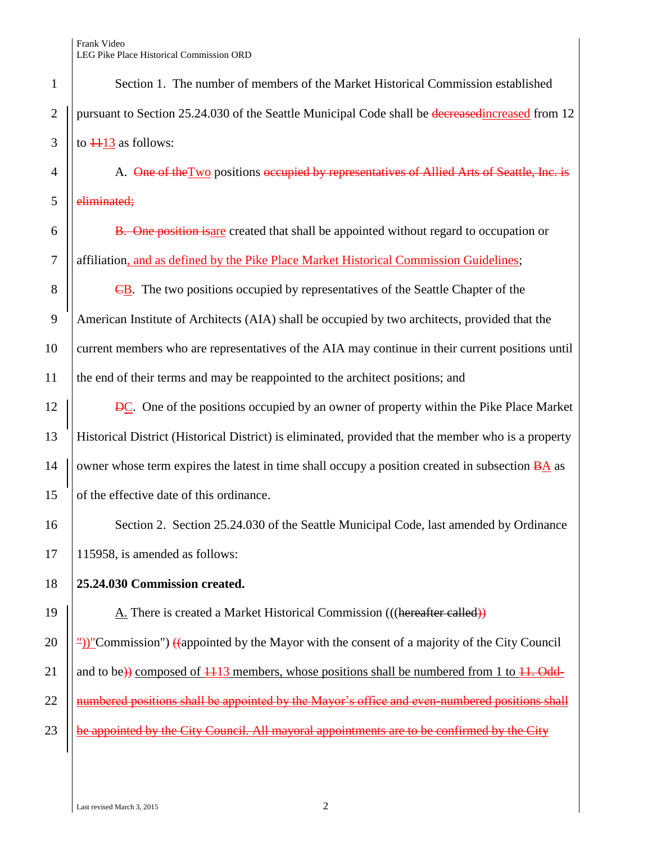|                | Section 1. The number of members of the Market Historical Commission established                 |
|----------------|--------------------------------------------------------------------------------------------------|
| $\overline{2}$ | pursuant to Section 25.24.030 of the Seattle Municipal Code shall be decreased increased from 12 |
| $\overline{3}$ | to $\frac{113}{3}$ as follows:                                                                   |
| $\overline{4}$ | A. One of the Two positions occupied by representatives of Allied Arts of Seattle, Inc. is       |
| .5             | eliminated:                                                                                      |
| 6              | B. One position is are created that shall be appointed without regard to occupation or           |
| $\overline{7}$ | affiliation, and as defined by the Pike Place Market Historical Commission Guidelines;           |
| 8              | <b>CB</b> . The two positions occupied by representatives of the Seattle Chapter of the          |
| 9              | American Institute of Architects (AIA) shall be occupied by two architects, provided that the    |
| 10             | current members who are representatives of the AIA may continue in their current positions until |

11 the end of their terms and may be reappointed to the architect positions; and

**DE**. One of the positions occupied by an owner of property within the Pike Place Market Historical District (Historical District) is eliminated, provided that the member who is a property owner whose term expires the latest in time shall occupy a position created in subsection BA as 15 of the effective date of this ordinance.

16 Section 2. Section 25.24.030 of the Seattle Municipal Code, last amended by Ordinance 115958, is amended as follows:

## **25.24.030 Commission created.**

19  $\vert$  A. There is created a Market Historical Commission (((hereafter called))

20  $||\frac{p}{p}$ "Commission") ((appointed by the Mayor with the consent of a majority of the City Council 21 | and to be)) composed of  $\frac{1113}{113}$  members, whose positions shall be numbered from 1 to  $\frac{11}{11}$ . Odd-|| numbered positions shall be appointed by the Mayor's office and even-numbered positions shall

23  $\vert\vert$  be appointed by the City Council. All mayoral appointments are to be confirmed by the City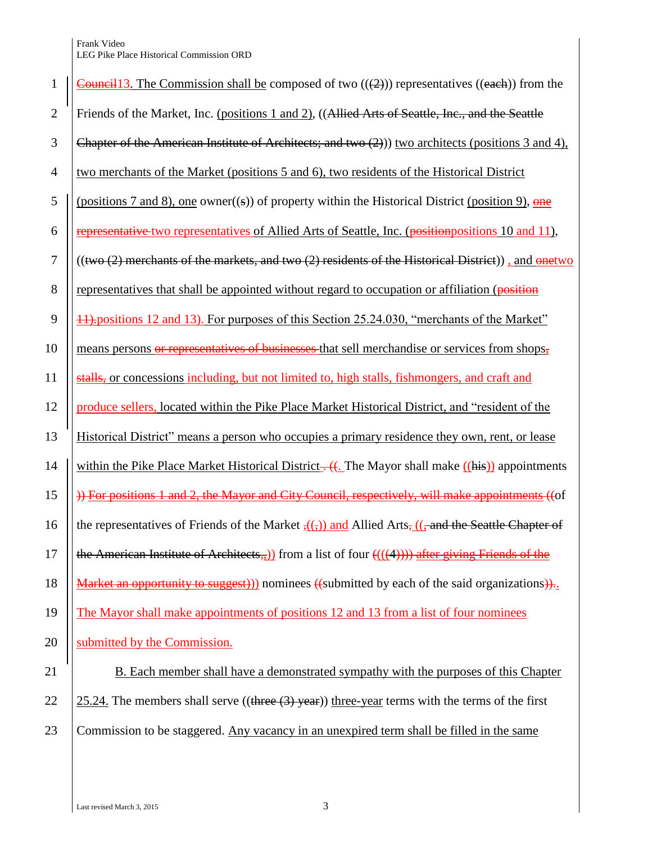## Frank Video LEG Pike Place Historical Commission ORD

| <b>Council 13.</b> The Commission shall be composed of two $((2))$ representatives $((each))$ from the<br>$\mathbf{1}$ |                                                                                                                                   |  |  |  |
|------------------------------------------------------------------------------------------------------------------------|-----------------------------------------------------------------------------------------------------------------------------------|--|--|--|
| $\overline{2}$                                                                                                         | Friends of the Market, Inc. (positions 1 and 2), ((Allied Arts of Seattle, Inc., and the Seattle                                  |  |  |  |
| 3                                                                                                                      | Chapter of the American Institute of Architects; and two (2)) two architects (positions 3 and 4),                                 |  |  |  |
| $\overline{4}$                                                                                                         | two merchants of the Market (positions 5 and 6), two residents of the Historical District                                         |  |  |  |
| 5                                                                                                                      | (positions 7 and 8), one owner((s)) of property within the Historical District (position 9), one                                  |  |  |  |
| 6                                                                                                                      | representative two representatives of Allied Arts of Seattle, Inc. (position positions 10 and 11),                                |  |  |  |
| $\overline{7}$                                                                                                         | ((two (2) merchants of the markets, and two (2) residents of the Historical District)), and onetwo                                |  |  |  |
| 8                                                                                                                      | representatives that shall be appointed without regard to occupation or affiliation (position                                     |  |  |  |
| 9                                                                                                                      | <b>11. positions 12 and 13).</b> For purposes of this Section 25.24.030, "merchants of the Market"                                |  |  |  |
| 10                                                                                                                     | means persons or representatives of businesses that sell merchandise or services from shops,                                      |  |  |  |
| 11                                                                                                                     | stalls, or concessions including, but not limited to, high stalls, fishmongers, and craft and                                     |  |  |  |
| 12                                                                                                                     | produce sellers, located within the Pike Place Market Historical District, and "resident of the                                   |  |  |  |
| 13                                                                                                                     | Historical District" means a person who occupies a primary residence they own, rent, or lease                                     |  |  |  |
| 14                                                                                                                     | within the Pike Place Market Historical District— $(($ . The Mayor shall make $(($ his)) appointments                             |  |  |  |
| 15                                                                                                                     | )) For positions 1 and 2, the Mayor and City Council, respectively, will make appointments ((of                                   |  |  |  |
| 16                                                                                                                     | the representatives of Friends of the Market $\frac{1}{2}(\frac{1}{2})$ and Allied Arts, $\frac{1}{2}$ and the Seattle Chapter of |  |  |  |
| 17                                                                                                                     | the American Institute of Architects, $\chi$ ) from a list of four $(((4))$ ) after giving Friends of the                         |  |  |  |
| 18                                                                                                                     | Market an opportunity to suggest)) nominees ((submitted by each of the said organizations)).                                      |  |  |  |
| 19                                                                                                                     | The Mayor shall make appointments of positions 12 and 13 from a list of four nominees                                             |  |  |  |
| 20                                                                                                                     | submitted by the Commission.                                                                                                      |  |  |  |
| 21                                                                                                                     | B. Each member shall have a demonstrated sympathy with the purposes of this Chapter                                               |  |  |  |
| 22                                                                                                                     | $25.24$ . The members shall serve ((three $(3)$ year)) three-year terms with the terms of the first                               |  |  |  |
| 23                                                                                                                     | Commission to be staggered. Any vacancy in an unexpired term shall be filled in the same                                          |  |  |  |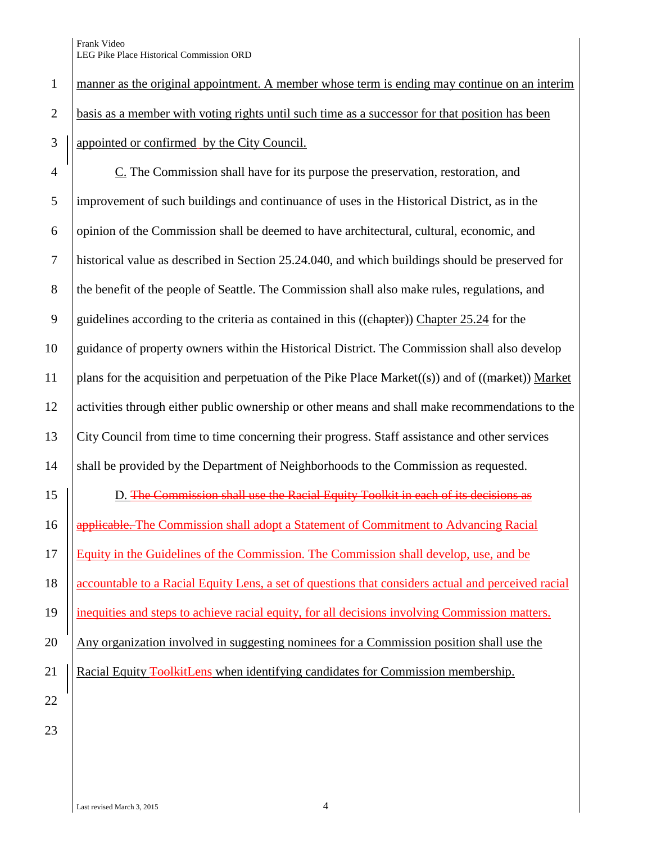Frank Video LEG Pike Place Historical Commission ORD

## 1 manner as the original appointment. A member whose term is ending may continue on an interim 2 basis as a member with voting rights until such time as a successor for that position has been  $3$  | appointed or confirmed by the City Council.

4 C. The Commission shall have for its purpose the preservation, restoration, and 5 improvement of such buildings and continuance of uses in the Historical District, as in the 6 opinion of the Commission shall be deemed to have architectural, cultural, economic, and 7 historical value as described in Section 25.24.040, and which buildings should be preserved for 8 the benefit of the people of Seattle. The Commission shall also make rules, regulations, and 9 guidelines according to the criteria as contained in this ( $(\theta_{\text{chapter}})$ ) Chapter 25.24 for the 10 guidance of property owners within the Historical District. The Commission shall also develop 11 | plans for the acquisition and perpetuation of the Pike Place Market((s)) and of ((market)) Market 12 activities through either public ownership or other means and shall make recommendations to the 13 City Council from time to time concerning their progress. Staff assistance and other services 14 shall be provided by the Department of Neighborhoods to the Commission as requested. 15 | D. The Commission shall use the Racial Equity Toolkit in each of its decisions as 16 **a** applicable. The Commission shall adopt a Statement of Commitment to Advancing Racial 17 Equity in the Guidelines of the Commission. The Commission shall develop, use, and be 18 | accountable to a Racial Equity Lens, a set of questions that considers actual and perceived racial

19 inequities and steps to achieve racial equity, for all decisions involving Commission matters.

20 Any organization involved in suggesting nominees for a Commission position shall use the

21 || Racial Equity ToolkitLens when identifying candidates for Commission membership.

22 23